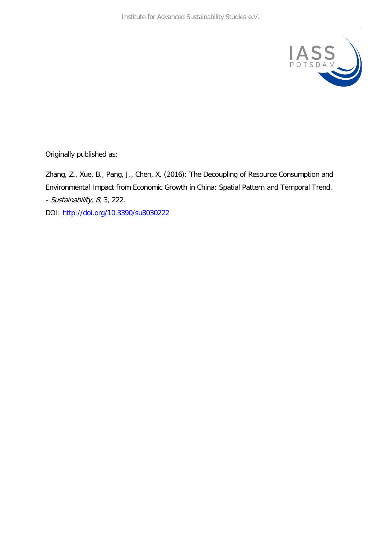

Originally published as:

Zhang, Z., Xue, B., Pang, J., Chen, X. (2016): The Decoupling of Resource Consumption and Environmental Impact from Economic Growth in China: Spatial Pattern and Temporal Trend. - Sustainability, 8, 3, 222.

DOI:<http://doi.org/10.3390/su8030222>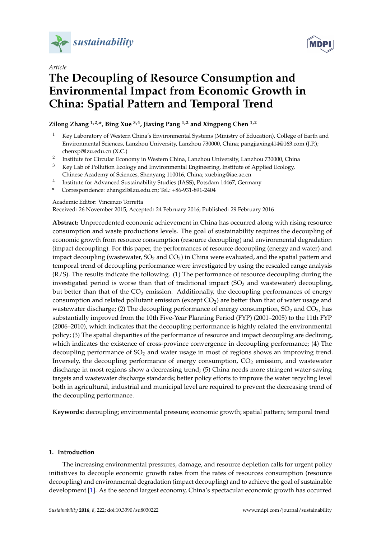

*Article*



# **The Decoupling of Resource Consumption and Environmental Impact from Economic Growth in China: Spatial Pattern and Temporal Trend**

**Zilong Zhang 1,2,\*, Bing Xue 3,4, Jiaxing Pang 1,2 and Xingpeng Chen 1,2**

- <sup>1</sup> Key Laboratory of Western China's Environmental Systems (Ministry of Education), College of Earth and Environmental Sciences, Lanzhou University, Lanzhou 730000, China; pangjiaxing414@163.com (J.P.); chenxp@lzu.edu.cn (X.C.)
- <sup>2</sup> Institute for Circular Economy in Western China, Lanzhou University, Lanzhou 730000, China
- <sup>3</sup> Key Lab of Pollution Ecology and Environmental Engineering, Institute of Applied Ecology, Chinese Academy of Sciences, Shenyang 110016, China; xuebing@iae.ac.cn
- 4 Institute for Advanced Sustainability Studies (IASS), Potsdam 14467, Germany
- **\*** Correspondence: zhangzl@lzu.edu.cn; Tel.: +86-931-891-2404

Academic Editor: Vincenzo Torretta

Received: 26 November 2015; Accepted: 24 February 2016; Published: 29 February 2016

**Abstract:** Unprecedented economic achievement in China has occurred along with rising resource consumption and waste productions levels. The goal of sustainability requires the decoupling of economic growth from resource consumption (resource decoupling) and environmental degradation (impact decoupling). For this paper, the performances of resource decoupling (energy and water) and impact decoupling (wastewater,  $SO_2$  and  $CO_2$ ) in China were evaluated, and the spatial pattern and temporal trend of decoupling performance were investigated by using the rescaled range analysis (R/S). The results indicate the following. (1) The performance of resource decoupling during the investigated period is worse than that of traditional impact  $(SO<sub>2</sub>$  and wastewater) decoupling, but better than that of the  $CO<sub>2</sub>$  emission. Additionally, the decoupling performances of energy consumption and related pollutant emission (except  $CO<sub>2</sub>$ ) are better than that of water usage and wastewater discharge; (2) The decoupling performance of energy consumption,  $SO_2$  and  $CO_2$ , has substantially improved from the 10th Five-Year Planning Period (FYP) (2001–2005) to the 11th FYP (2006–2010), which indicates that the decoupling performance is highly related the environmental policy; (3) The spatial disparities of the performance of resource and impact decoupling are declining, which indicates the existence of cross-province convergence in decoupling performance; (4) The decoupling performance of  $SO<sub>2</sub>$  and water usage in most of regions shows an improving trend. Inversely, the decoupling performance of energy consumption,  $CO<sub>2</sub>$  emission, and wastewater discharge in most regions show a decreasing trend; (5) China needs more stringent water-saving targets and wastewater discharge standards; better policy efforts to improve the water recycling level both in agricultural, industrial and municipal level are required to prevent the decreasing trend of the decoupling performance.

**Keywords:** decoupling; environmental pressure; economic growth; spatial pattern; temporal trend

## **1. Introduction**

The increasing environmental pressures, damage, and resource depletion calls for urgent policy initiatives to decouple economic growth rates from the rates of resources consumption (resource decoupling) and environmental degradation (impact decoupling) and to achieve the goal of sustainable development [\[1\]](#page-11-0). As the second largest economy, China's spectacular economic growth has occurred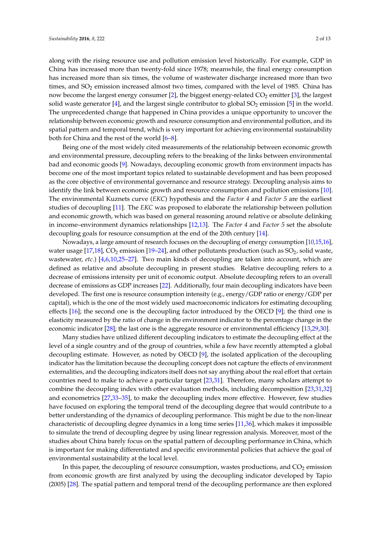along with the rising resource use and pollution emission level historically. For example, GDP in China has increased more than twenty-fold since 1978; meanwhile, the final energy consumption has increased more than six times, the volume of wastewater discharge increased more than two times, and  $SO_2$  emission increased almost two times, compared with the level of 1985. China has now become the largest energy consumer [\[2\]](#page-11-1), the biggest energy-related CO<sub>2</sub> emitter [\[3\]](#page-11-2), the largest solid waste generator  $[4]$ , and the largest single contributor to global  $SO_2$  emission  $[5]$  in the world. The unprecedented change that happened in China provides a unique opportunity to uncover the relationship between economic growth and resource consumption and environmental pollution, and its spatial pattern and temporal trend, which is very important for achieving environmental sustainability both for China and the rest of the world [\[6](#page-11-5)[–8\]](#page-11-6).

Being one of the most widely cited measurements of the relationship between economic growth and environmental pressure, decoupling refers to the breaking of the links between environmental bad and economic goods [\[9\]](#page-11-7). Nowadays, decoupling economic growth from environment impacts has become one of the most important topics related to sustainable development and has been proposed as the core objective of environmental governance and resource strategy. Decoupling analysis aims to identify the link between economic growth and resource consumption and pollution emissions [\[10\]](#page-11-8). The environmental Kuznets curve (*EKC*) hypothesis and the *Factor 4* and *Factor 5* are the earliest studies of decoupling [\[11\]](#page-11-9). The *EKC* was proposed to elaborate the relationship between pollution and economic growth, which was based on general reasoning around relative or absolute delinking in income–environment dynamics relationships [\[12](#page-11-10)[,13\]](#page-11-11). The *Factor 4* and *Factor 5* set the absolute decoupling goals for resource consumption at the end of the 20th century [\[14\]](#page-11-12).

Nowadays, a large amount of research focuses on the decoupling of energy consumption [\[10,](#page-11-8)[15,](#page-11-13)[16\]](#page-11-14), water usage [\[17](#page-11-15)[,18\]](#page-11-16), CO<sub>2</sub> emission [\[19–](#page-11-17)[24\]](#page-11-18), and other pollutants production (such as  $SO_2$ , solid waste, wastewater, *etc.*) [\[4,](#page-11-3)[6,](#page-11-5)[10,](#page-11-8)[25](#page-11-19)[–27\]](#page-12-0). Two main kinds of decoupling are taken into account, which are defined as relative and absolute decoupling in present studies. Relative decoupling refers to a decrease of emissions intensity per unit of economic output. Absolute decoupling refers to an overall decrease of emissions as GDP increases [\[22\]](#page-11-20). Additionally, four main decoupling indicators have been developed. The first one is resource consumption intensity (e.g., energy/GDP ratio or energy/GDP per capital), which is the one of the most widely used macroeconomic indicators for estimating decoupling effects [\[16\]](#page-11-14); the second one is the decoupling factor introduced by the OECD [\[9\]](#page-11-7); the third one is elasticity measured by the ratio of change in the environment indicator to the percentage change in the economic indicator [\[28\]](#page-12-1); the last one is the aggregate resource or environmental efficiency [\[13,](#page-11-11)[29,](#page-12-2)[30\]](#page-12-3).

Many studies have utilized different decoupling indicators to estimate the decoupling effect at the level of a single country and of the group of countries, while a few have recently attempted a global decoupling estimate. However, as noted by OECD [\[9\]](#page-11-7), the isolated application of the decoupling indicator has the limitation because the decoupling concept does not capture the effects of environment externalities, and the decoupling indicators itself does not say anything about the real effort that certain countries need to make to achieve a particular target [\[23,](#page-11-21)[31\]](#page-12-4). Therefore, many scholars attempt to combine the decoupling index with other evaluation methods, including decomposition [\[23](#page-11-21)[,31](#page-12-4)[,32\]](#page-12-5) and econometrics [\[27,](#page-12-0)[33](#page-12-6)[–35\]](#page-12-7), to make the decoupling index more effective. However, few studies have focused on exploring the temporal trend of the decoupling degree that would contribute to a better understanding of the dynamics of decoupling performance. This might be due to the non-linear characteristic of decoupling degree dynamics in a long time series [\[11](#page-11-9)[,36\]](#page-12-8), which makes it impossible to simulate the trend of decoupling degree by using linear regression analysis. Moreover, most of the studies about China barely focus on the spatial pattern of decoupling performance in China, which is important for making differentiated and specific environmental policies that achieve the goal of environmental sustainability at the local level.

In this paper, the decoupling of resource consumption, wastes productions, and  $CO<sub>2</sub>$  emission from economic growth are first analyzed by using the decoupling indicator developed by Tapio (2005) [\[28\]](#page-12-1). The spatial pattern and temporal trend of the decoupling performance are then explored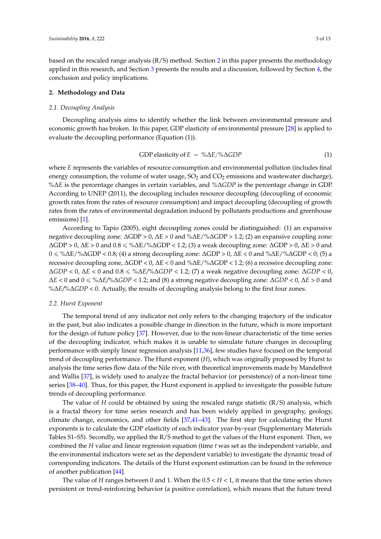based on the rescaled range analysis  $(R/S)$  method. Section [2](#page-3-0) in this paper presents the methodology applied in this research, and Section [3](#page-4-0) presents the results and a discussion, followed by Section [4,](#page-10-0) the conclusion and policy implications.

#### <span id="page-3-0"></span>**2. Methodology and Data**

#### *2.1. Decoupling Analysis*

Decoupling analysis aims to identify whether the link between environmental pressure and economic growth has broken. In this paper, GDP elasticity of environmental pressure [\[28\]](#page-12-1) is applied to evaluate the decoupling performance (Equation (1)).

GDP elasticity of 
$$
E = \% \Delta E / \% \Delta GDP
$$
 (1)

where *E* represents the variables of resource consumption and environmental pollution (includes final energy consumption, the volume of water usage,  $SO<sub>2</sub>$  and  $CO<sub>2</sub>$  emissions and wastewater discharge), *%*∆*E* is the percentage changes in certain variables, and *%*∆*GDP* is the percentage change in GDP. According to UNEP (2011), the decoupling includes resource decoupling (decoupling of economic growth rates from the rates of resource consumption) and impact decoupling (decoupling of growth rates from the rates of environmental degradation induced by pollutants productions and greenhouse emissions) [\[1\]](#page-11-0).

According to Tapio (2005), eight decoupling zones could be distinguished: (1) an expansive negative decoupling zone: ∆GDP > 0, ∆E > 0 and %∆E/%∆GDP > 1.2; (2) an expansive coupling zone:  $\Delta$ GDP > 0,  $\Delta$ E > 0 and 0.8 ≤ % $\Delta$ E/% $\Delta$ GDP < 1.2; (3) a weak decoupling zone:  $\Delta$ GDP > 0,  $\Delta$ E > 0 and 0 ď %∆E/%∆GDP < 0.8; (4) a strong decoupling zone: ∆GDP > 0, ∆E < 0 and %∆E/%∆GDP < 0; (5) a recessive decoupling zone, ∆GDP < 0, ∆E < 0 and %∆E/%∆GDP < 1.2; (6) a recessive decoupling zone: ∆*GDP* < 0, ∆*E* < 0 and 0.8 ď *%*∆*E/%*∆*GDP* < 1.2; (7) a weak negative decoupling zone: ∆*GDP* < 0, ∆*E* < 0 and 0 ď *%*∆*E/%*∆*GDP* < 1.2; and (8) a strong negative decoupling zone: ∆*GDP* < 0, ∆*E* > 0 and *%*∆*E/%*∆*GDP* < 0. Actually, the results of decoupling analysis belong to the first four zones.

#### *2.2. Hurst Exponent*

The temporal trend of any indicator not only refers to the changing trajectory of the indicator in the past, but also indicates a possible change in direction in the future, which is more important for the design of future policy [\[37\]](#page-12-9). However, due to the non-linear characteristic of the time series of the decoupling indicator, which makes it is unable to simulate future changes in decoupling performance with simply linear regression analysis [\[11](#page-11-9)[,36\]](#page-12-8), few studies have focused on the temporal trend of decoupling performance. The Hurst exponent (*H*), which was originally proposed by Hurst to analysis the time series flow data of the Nile river, with theoretical improvements made by Mandelbrot and Wallis [\[37\]](#page-12-9), is widely used to analyze the fractal behavior (or persistence) of a non-linear time series [\[38–](#page-12-10)[40\]](#page-12-11). Thus, for this paper, the Hurst exponent is applied to investigate the possible future trends of decoupling performance.

The value of *H* could be obtained by using the rescaled range statistic  $(R/S)$  analysis, which is a fractal theory for time series research and has been widely applied in geography, geology, climate change, economics, and other fields [\[37](#page-12-9)[,41–](#page-12-12)[43\]](#page-12-13). The first step for calculating the Hurst exponents is to calculate the GDP elasticity of each indicator year-by-year (Supplementary Materials Tables S1–S5). Secondly, we applied the R/S method to get the values of the Hurst exponent. Then, we combined the *H* value and linear regression equation (time *t* was set as the independent variable, and the environmental indicators were set as the dependent variable) to investigate the dynamic tread of corresponding indicators. The details of the Hurst exponent estimation can be found in the reference of another publication [\[44\]](#page-12-14).

The value of *H* ranges between 0 and 1. When the  $0.5 < H < 1$ , it means that the time series shows persistent or trend-reinforcing behavior (a positive correlation), which means that the future trend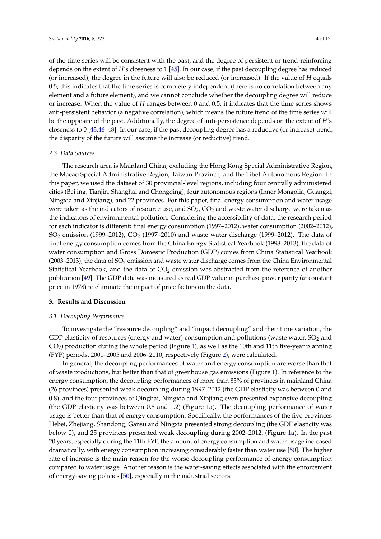of the time series will be consistent with the past, and the degree of persistent or trend-reinforcing depends on the extent of *H*'s closeness to 1 [\[45\]](#page-12-15). In our case, if the past decoupling degree has reduced (or increased), the degree in the future will also be reduced (or increased). If the value of *H* equals 0.5, this indicates that the time series is completely independent (there is no correlation between any element and a future element), and we cannot conclude whether the decoupling degree will reduce or increase. When the value of *H* ranges between 0 and 0.5, it indicates that the time series shows anti-persistent behavior (a negative correlation), which means the future trend of the time series will be the opposite of the past. Additionally, the degree of anti-persistence depends on the extent of *H*'s closeness to 0 [\[43,](#page-12-13)[46–](#page-12-16)[48\]](#page-12-17). In our case, if the past decoupling degree has a reductive (or increase) trend, the disparity of the future will assume the increase (or reductive) trend.

#### *2.3. Data Sources*

The research area is Mainland China, excluding the Hong Kong Special Administrative Region, the Macao Special Administrative Region, Taiwan Province, and the Tibet Autonomous Region. In this paper, we used the dataset of 30 provincial-level regions, including four centrally administered cities (Beijing, Tianjin, Shanghai and Chongqing), four autonomous regions (Inner Mongolia, Guangxi, Ningxia and Xinjiang), and 22 provinces. For this paper, final energy consumption and water usage were taken as the indicators of resource use, and  $SO<sub>2</sub>, CO<sub>2</sub>$  and waste water discharge were taken as the indicators of environmental pollution. Considering the accessibility of data, the research period for each indicator is different: final energy consumption (1997–2012), water consumption (2002–2012),  $SO_2$  emission (1999–2012),  $CO_2$  (1997–2010) and waste water discharge (1999–2012). The data of final energy consumption comes from the China Energy Statistical Yearbook (1998–2013), the data of water consumption and Gross Domestic Production (GDP) comes from China Statistical Yearbook (2003–2013), the data of  $SO_2$  emission and waste water discharge comes from the China Environmental Statistical Yearbook, and the data of  $CO<sub>2</sub>$  emission was abstracted from the reference of another publication [\[49\]](#page-12-18). The GDP data was measured as real GDP value in purchase power parity (at constant price in 1978) to eliminate the impact of price factors on the data.

#### <span id="page-4-0"></span>**3. Results and Discussion**

#### *3.1. Decoupling Performance*

To investigate the "resource decoupling" and "impact decoupling" and their time variation, the GDP elasticity of resources (energy and water) consumption and pollutions (waste water,  $SO_2$  and  $CO<sub>2</sub>$ ) production during the whole period (Figure [1\)](#page-5-0), as well as the 10th and 11th five-year planning (FYP) periods, 2001–2005 and 2006–2010, respectively (Figure [2\)](#page-6-0), were calculated.

In general, the decoupling performances of water and energy consumption are worse than that of waste productions, but better than that of greenhouse gas emissions (Figure [1\)](#page-5-0). In reference to the energy consumption, the decoupling performances of more than 85% of provinces in mainland China (26 provinces) presented weak decoupling during 1997–2012 (the GDP elasticity was between 0 and 0.8), and the four provinces of Qinghai, Ningxia and Xinjiang even presented expansive decoupling (the GDP elasticity was between 0.8 and 1.2) (Figure [1a](#page-5-0)). The decoupling performance of water usage is better than that of energy consumption. Specifically, the performances of the five provinces Hebei, Zhejiang, Shandong, Gansu and Ningxia presented strong decoupling (the GDP elasticity was below 0), and 25 provinces presented weak decoupling during 2002–2012, (Figure [1a](#page-5-0)). In the past 20 years, especially during the 11th FYP, the amount of energy consumption and water usage increased dramatically, with energy consumption increasing considerably faster than water use [\[50\]](#page-12-19). The higher rate of increase is the main reason for the worse decoupling performance of energy consumption compared to water usage. Another reason is the water-saving effects associated with the enforcement of energy-saving policies [\[50\]](#page-12-19), especially in the industrial sectors.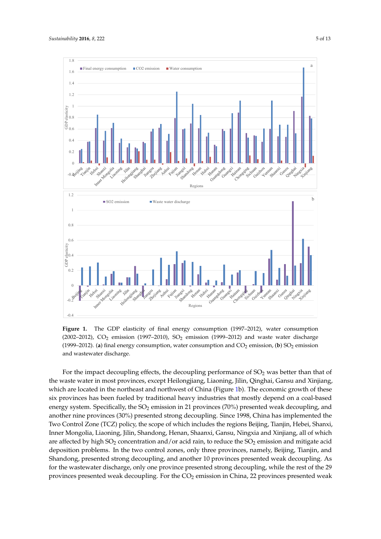<span id="page-5-0"></span>

(**b**) (1999–2012). (a) final energy consumption, water consumption and  $CO_2$  emission, (b)  $SO_2$  emission and wastewater discharge. (2002–2012), CO<sub>2</sub> emission (1997–2010), SO<sub>2</sub> emission (1999–2012) and waste water discharge **Figure 1.** The GDP elasticity of final energy consumption (1997–2012), water consumption

 $\mu$  Control Zone (TCZ) policy the scope of which includes the regions Beijing. Tianijn, Hebei, Shany **0.8** another nine provinces (30%) presented strong decoupling. Since 1998, China has implemented the **<sub>28</sub>** system. Specifically, the SO<sub>2</sub> emission in 21 provinces (70%) presented weak decoupling **2.4 Mongolia Gansu 0.4 Inner Mongolia Gansu 2.8** Prortheast and **p 3.2**  $\alpha$  saste water in most provinces, except Heile For the impact decoupling effects, the decoupling performance of  $SO_2$  was better than that of **Inner** nci iviongona, Liaoning, Jimi, Shandong, Ficha **Jiangsu Chongqing Jiangsu Chongqing** Shandong, presented strong decoupling, and another 10 provinces presented weak decoupling. As **Anhui Guangxi Anhui Guangxi Fujian J**enieu wean decoupil **Guanglois Fujian Fujian Fujian Fujian Fujian Fujian** which are located in the northeast and northwest of China (Figure [1b](#page-5-0)). The economic growth of these **-0.4 12.8** St provinces, except Heilongjiang, Liaoning, Jilin, Qinghai, Gansu and Xinj **Shanghai Sichuan** Inner Mongolia, Liaoning, Jilin, Shandong, Henan, Shaanxi, Gansu, Ningxia and Xinjiang, all of which Lillia, 22 provinces p provinces presented weak decoupling. For the CO<sub>2</sub> emission in China, 22 provinces presented weak energy system. Specifically, the SO<sub>2</sub> emission in 21 provinces (70%) presented weak decoupling, and **1.6** six provinces has been fueled by traditional heavy industries that mostly depend on a coal-based <sup>2</sup> **Inner**  $\left($   $\frac{1}{2}$   $\frac{1}{2}$   $\frac{1}{2}$   $\frac{1}{2}$   $\frac{1}{2}$   $\frac{1}{2}$   $\frac{1}{2}$   $\frac{1}{2}$   $\frac{1}{2}$   $\frac{1}{2}$   $\frac{1}{2}$   $\frac{1}{2}$   $\frac{1}{2}$   $\frac{1}{2}$   $\frac{1}{2}$   $\frac{1}{2}$   $\frac{1}{2}$   $\frac{1}{2}$   $\frac{1}{2}$   $\frac{1}{2}$   $\frac{1}{2}$   $\frac{1$ are affected by high SO<sub>2</sub> concentration and/or acid rain, to reduce the SO<sub>2</sub> emission and mitigate acid deposition problems. In the two control zones, only three provinces, namely, Beijing, Tianjin, and rator and the gr<sub>1</sub> control **Guangdong Fujian** the waste water in most provinces, except Heilongjiang, Liaoning, Jilin, Qinghai, Gansu and Xinjiang, **-0.4 Shanghai Sichuan** Two Control Zone (TCZ) policy, the scope of which includes the regions Beijing, Tianjin, Hebei, Shanxi,  $\sigma$ <sup>*Hungi*</sup> *Himself* for the wastewater discharge, only one province presented strong decoupling, while the rest of the 29

**Shandong Henan Hubei**

**Shandong Henan Hubei**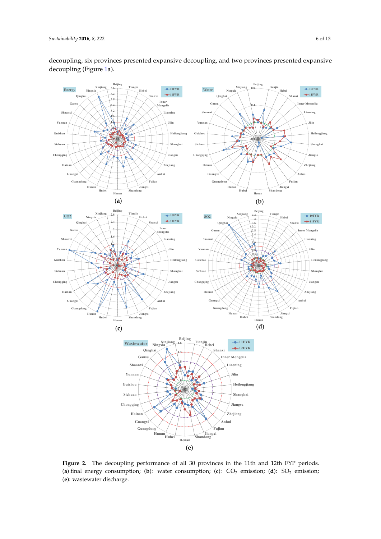<span id="page-6-0"></span>

decoupling, six provinces presented expansive decoupling, and two provinces presented expansive decoupling (Figure 1a). water consump[tio](#page-5-0)n, was temporal consumption and wastewater discharge. The wastewater discharge. The consumption and was temporal consumption and was temporal consumption and was temporal consumption

Figure 2. The decoupling performance of all 30 provinces in the 11th and 12th FYP periods. (a) final energy consumption; (b): water consumption; (c):  $CO_2$  emission; (d):  $SO_2$  emission; (e): wastewater discharge.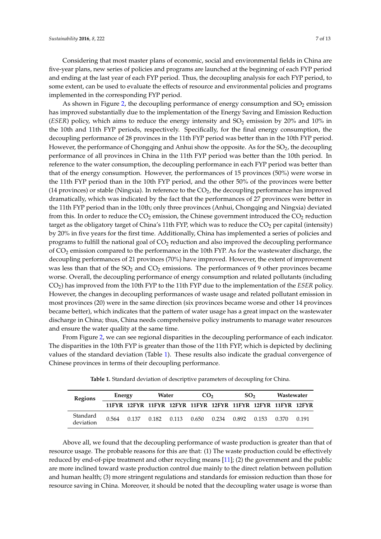Considering that most master plans of economic, social and environmental fields in China are five-year plans, new series of policies and programs are launched at the beginning of each FYP period and ending at the last year of each FYP period. Thus, the decoupling analysis for each FYP period, to some extent, can be used to evaluate the effects of resource and environmental policies and programs

implemented in the corresponding FYP period. As shown in Figure [2,](#page-6-0) the decoupling performance of energy consumption and  $SO<sub>2</sub>$  emission has improved substantially due to the implementation of the Energy Saving and Emission Reduction (*ESER*) policy, which aims to reduce the energy intensity and  $SO<sub>2</sub>$  emission by 20% and 10% in the 10th and 11th FYP periods, respectively. Specifically, for the final energy consumption, the decoupling performance of 28 provinces in the 11th FYP period was better than in the 10th FYP period. However, the performance of Chongqing and Anhui show the opposite. As for the  $SO<sub>2</sub>$ , the decoupling performance of all provinces in China in the 11th FYP period was better than the 10th period. In reference to the water consumption, the decoupling performance in each FYP period was better than that of the energy consumption. However, the performances of 15 provinces (50%) were worse in the 11th FYP period than in the 10th FYP period, and the other 50% of the provinces were better (14 provinces) or stable (Ningxia). In reference to the  $CO<sub>2</sub>$ , the decoupling performance has improved dramatically, which was indicated by the fact that the performances of 27 provinces were better in the 11th FYP period than in the 10th; only three provinces (Anhui, Chongqing and Ningxia) deviated from this. In order to reduce the  $CO<sub>2</sub>$  emission, the Chinese government introduced the  $CO<sub>2</sub>$  reduction target as the obligatory target of China's 11th FYP, which was to reduce the  $CO<sub>2</sub>$  per capital (intensity) by 20% in five years for the first time. Additionally, China has implemented a series of policies and programs to fulfill the national goal of  $CO<sub>2</sub>$  reduction and also improved the decoupling performance of  $CO<sub>2</sub>$  emission compared to the performance in the 10th FYP. As for the wastewater discharge, the decoupling performances of 21 provinces (70%) have improved. However, the extent of improvement was less than that of the  $SO_2$  and  $CO_2$  emissions. The performances of 9 other provinces became worse. Overall, the decoupling performance of energy consumption and related pollutants (including CO2) has improved from the 10th FYP to the 11th FYP due to the implementation of the *ESER* policy. However, the changes in decoupling performances of waste usage and related pollutant emission in most provinces (20) were in the same direction (six provinces became worse and other 14 provinces became better), which indicates that the pattern of water usage has a great impact on the wastewater discharge in China; thus, China needs comprehensive policy instruments to manage water resources and ensure the water quality at the same time.

From Figure [2,](#page-6-0) we can see regional disparities in the decoupling performance of each indicator. The disparities in the 10th FYP is greater than those of the 11th FYP, which is depicted by declining values of the standard deviation (Table [1\)](#page-7-0). These results also indicate the gradual convergence of Chinese provinces in terms of their decoupling performance.

<span id="page-7-0"></span>

| Regions               | Energy |  | Water |                                                             | CO <sub>2</sub> |  | SO <sub>2</sub> |  | Wastewater |       |
|-----------------------|--------|--|-------|-------------------------------------------------------------|-----------------|--|-----------------|--|------------|-------|
|                       |        |  |       | 11FYR 12FYR 11FYR 12FYR 11FYR 12FYR 11FYR 12FYR 11FYR 12FYR |                 |  |                 |  |            |       |
| Standard<br>deviation | 0.564  |  |       | 0.137 0.182 0.113 0.650 0.234 0.892 0.153 0.370             |                 |  |                 |  |            | 0.191 |

**Table 1.** Standard deviation of descriptive parameters of decoupling for China.

Above all, we found that the decoupling performance of waste production is greater than that of resource usage. The probable reasons for this are that: (1) The waste production could be effectively reduced by end-of-pipe treatment and other recycling means [\[11\]](#page-11-9); (2) the government and the public are more inclined toward waste production control due mainly to the direct relation between pollution and human health; (3) more stringent regulations and standards for emission reduction than those for resource saving in China. Moreover, it should be noted that the decoupling water usage is worse than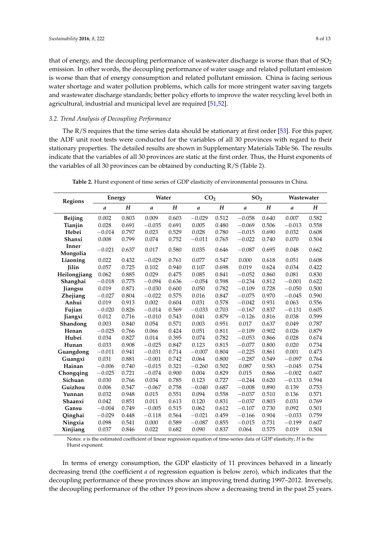that of energy, and the decoupling performance of wastewater discharge is worse than that of  $SO_2$ emission. In other words, the decoupling performance of water usage and related pollutant emission is worse than that of energy consumption and related pollutant emission. China is facing serious water shortage and water pollution problems, which calls for more stringent water saving targets and wastewater discharge standards; better policy efforts to improve the water recycling level both in agricultural, industrial and municipal level are required [\[51,](#page-12-20)[52\]](#page-13-0).

#### *3.2. Trend Analysis of Decoupling Performance*

The  $R/S$  requires that the time series data should be stationary at first order [\[53\]](#page-13-1). For this paper, the ADF unit root tests were conducted for the variables of all 30 provinces with regard to their stationary properties. The detailed results are shown in Supplementary Materials Table S6. The results indicate that the variables of all 30 provinces are static at the first order. Thus, the Hurst exponents of the variables of all 30 provinces can be obtained by conducting R/S (Table [2\)](#page-8-0).

<span id="page-8-0"></span>

| <b>Regions</b>    | Energy   |           | Water    |           | CO <sub>2</sub>  |       | SO <sub>2</sub> |           | Wastewater    |           |
|-------------------|----------|-----------|----------|-----------|------------------|-------|-----------------|-----------|---------------|-----------|
|                   | a        | $H_{\rm}$ | a        | $H_{\rm}$ | $\boldsymbol{a}$ | H     | a               | $H_{\rm}$ | $\mathfrak a$ | $H_{\rm}$ |
| <b>Beijing</b>    | 0.002    | 0.803     | 0.009    | 0.603     | $-0.029$         | 0.512 | $-0.058$        | 0.640     | 0.007         | 0.582     |
| Tianjin           | 0.028    | 0.691     | $-0.035$ | 0.691     | 0.005            | 0.480 | $-0.069$        | 0.506     | $-0.013$      | 0.558     |
| Hebei             | $-0.014$ | 0.797     | 0.023    | 0.529     | 0.028            | 0.780 | $-0.015$        | 0.690     | 0.032         | 0.608     |
| Shanxi            | 0.008    | 0.799     | 0.074    | 0.752     | $-0.011$         | 0.765 | $-0.022$        | 0.740     | 0.070         | 0.504     |
| Inner<br>Mongolia | $-0.021$ | 0.637     | 0.017    | 0.580     | 0.035            | 0.646 | $-0.087$        | 0.695     | 0.048         | 0.662     |
| Liaoning          | 0.022    | 0.432     | $-0.029$ | 0.761     | 0.077            | 0.547 | 0.000           | 0.618     | 0.051         | 0.608     |
| <b>Jilin</b>      | 0.057    | 0.725     | 0.102    | 0.940     | 0.107            | 0.698 | 0.019           | 0.624     | 0.034         | 0.422     |
| Heilongjiang      | 0.062    | 0.885     | 0.029    | 0.475     | 0.085            | 0.841 | $-0.052$        | 0.860     | 0.081         | 0.830     |
| Shanghai          | $-0.018$ | 0.775     | $-0.094$ | 0.636     | $-0.054$         | 0.598 | $-0.234$        | 0.812     | $-0.001$      | 0.622     |
| Jiangsu           | 0.019    | 0.871     | $-0.030$ | 0.600     | 0.050            | 0.782 | $-0.109$        | 0.728     | $-0.050$      | 0.500     |
| Zhejiang          | $-0.027$ | 0.804     | $-0.022$ | 0.575     | 0.016            | 0.847 | $-0.075$        | 0.970     | $-0.045$      | 0.590     |
| Anhui             | 0.019    | 0.913     | 0.002    | 0.604     | 0.031            | 0.578 | $-0.042$        | 0.931     | 0.063         | 0.556     |
| Fujian            | $-0.020$ | 0.826     | $-0.014$ | 0.569     | $-0.033$         | 0.703 | $-0.167$        | 0.837     | $-0.131$      | 0.605     |
| Jiangxi           | 0.012    | 0.716     | $-0.010$ | 0.543     | 0.041            | 0.879 | $-0.126$        | 0.816     | 0.038         | 0.599     |
| Shandong          | 0.003    | 0.840     | 0.054    | 0.571     | 0.003            | 0.951 | 0.017           | 0.637     | 0.049         | 0.787     |
| Henan             | $-0.025$ | 0.766     | 0.066    | 0.424     | 0.051            | 0.811 | $-0.109$        | 0.902     | 0.026         | 0.879     |
| Hubei             | 0.034    | 0.827     | 0.014    | 0.395     | 0.074            | 0.782 | $-0.053$        | 0.866     | 0.028         | 0.674     |
| Hunan             | 0.033    | 0.908     | $-0.025$ | 0.847     | 0.123            | 0.815 | $-0.077$        | 0.800     | 0.020         | 0.734     |
| Guangdong         | $-0.011$ | 0.941     | $-0.031$ | 0.714     | $-0.007$         | 0.804 | $-0.225$        | 0.861     | 0.001         | 0.473     |
| Guangxi           | 0.031    | 0.881     | $-0.001$ | 0.742     | 0.064            | 0.800 | $-0.287$        | 0.549     | $-0.097$      | 0.764     |
| Hainan            | $-0.006$ | 0.740     | $-0.015$ | 0.321     | $-0.260$         | 0.502 | 0.087           | 0.583     | $-0.045$      | 0.754     |
| Chongqing         | $-0.025$ | 0.721     | $-0.074$ | 0.900     | 0.004            | 0.829 | 0.015           | 0.866     | $-0.002$      | 0.607     |
| Sichuan           | 0.030    | 0.766     | 0.034    | 0.785     | 0.123            | 0.727 | $-0.244$        | 0.620     | $-0.133$      | 0.594     |
| Guizhou           | 0.006    | 0.547     | $-0.067$ | 0.758     | $-0.040$         | 0.687 | $-0.008$        | 0.890     | 0.139         | 0.753     |
| Yunnan            | 0.032    | 0.948     | 0.015    | 0.551     | 0.094            | 0.558 | $-0.037$        | 0.510     | 0.136         | 0.571     |
| Shaanxi           | 0.042    | 0.851     | 0.011    | 0.613     | 0.120            | 0.831 | $-0.037$        | 0.803     | 0.031         | 0.769     |
| Gansu             | $-0.004$ | 0.749     | $-0.005$ | 0.515     | 0.062            | 0.612 | $-0.107$        | 0.730     | 0.092         | 0.501     |
| Qinghai           | $-0.029$ | 0.448     | $-0.118$ | 0.564     | $-0.021$         | 0.459 | $-0.166$        | 0.904     | $-0.033$      | 0.759     |
| Ningxia           | 0.098    | 0.541     | 0.000    | 0.589     | $-0.087$         | 0.855 | $-0.015$        | 0.731     | $-0.199$      | 0.607     |
| Xinjiang          | 0.037    | 0.846     | 0.022    | 0.682     | 0.090            | 0.837 | 0.064           | 0.575     | 0.019         | 0.504     |

**Table 2.** Hurst exponent of time series of GDP elasticity of environmental pressures in China.

Notes: *a* is the estimated coefficient of linear regression equation of time-series data of GDP elasticity; *H* is the Hurst exponent.

In terms of energy consumption, the GDP elasticity of 11 provinces behaved in a linearly decreasing trend (the coefficient *a* of regression equation is below zero), which indicates that the decoupling performance of these provinces show an improving trend during 1997–2012. Inversely, the decoupling performance of the other 19 provinces show a decreasing trend in the past 25 years.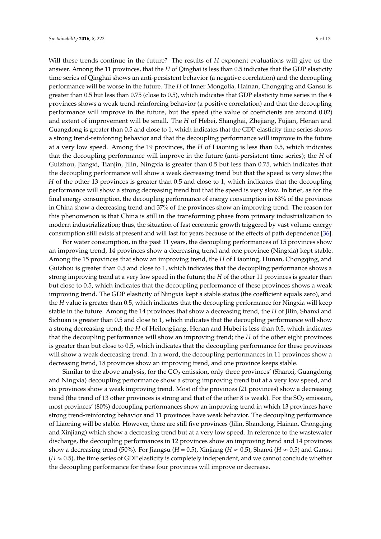Will these trends continue in the future? The results of *H* exponent evaluations will give us the answer. Among the 11 provinces, that the *H* of Qinghai is less than 0.5 indicates that the GDP elasticity time series of Qinghai shows an anti-persistent behavior (a negative correlation) and the decoupling performance will be worse in the future. The *H* of Inner Mongolia, Hainan, Chongqing and Gansu is greater than 0.5 but less than 0.75 (close to 0.5), which indicates that GDP elasticity time series in the 4 provinces shows a weak trend-reinforcing behavior (a positive correlation) and that the decoupling performance will improve in the future, but the speed (the value of coefficients are around 0.02) and extent of improvement will be small. The *H* of Hebei, Shanghai, Zhejiang, Fujian, Henan and Guangdong is greater than 0.5 and close to 1, which indicates that the GDP elasticity time series shows a strong trend-reinforcing behavior and that the decoupling performance will improve in the future at a very low speed. Among the 19 provinces, the *H* of Liaoning is less than 0.5, which indicates that the decoupling performance will improve in the future (anti-persistent time series); the *H* of Guizhou, Jiangxi, Tianjin, Jilin, Ningxia is greater than 0.5 but less than 0.75, which indicates that the decoupling performance will show a weak decreasing trend but that the speed is very slow; the *H* of the other 13 provinces is greater than 0.5 and close to 1, which indicates that the decoupling performance will show a strong decreasing trend but that the speed is very slow. In brief, as for the final energy consumption, the decoupling performance of energy consumption in 63% of the provinces in China show a decreasing trend and 37% of the provinces show an improving trend. The reason for this phenomenon is that China is still in the transforming phase from primary industrialization to modern industrialization; thus, the situation of fast economic growth triggered by vast volume energy consumption still exists at present and will last for years because of the effects of path dependence [\[36\]](#page-12-8).

For water consumption, in the past 11 years, the decoupling performances of 15 provinces show an improving trend, 14 provinces show a decreasing trend and one province (Ningxia) kept stable. Among the 15 provinces that show an improving trend, the *H* of Liaoning, Hunan, Chongqing, and Guizhou is greater than 0.5 and close to 1, which indicates that the decoupling performance shows a strong improving trend at a very low speed in the future; the *H* of the other 11 provinces is greater than but close to 0.5, which indicates that the decoupling performance of these provinces shows a weak improving trend. The GDP elasticity of Ningxia kept a stable status (the coefficient equals zero), and the *H* value is greater than 0.5, which indicates that the decoupling performance for Ningxia will keep stable in the future. Among the 14 provinces that show a decreasing trend, the *H* of Jilin, Shanxi and Sichuan is greater than 0.5 and close to 1, which indicates that the decoupling performance will show a strong decreasing trend; the *H* of Heilongjiang, Henan and Hubei is less than 0.5, which indicates that the decoupling performance will show an improving trend; the *H* of the other eight provinces is greater than but close to 0.5, which indicates that the decoupling performance for these provinces will show a weak decreasing trend. In a word, the decoupling performances in 11 provinces show a decreasing trend, 18 provinces show an improving trend, and one province keeps stable.

Similar to the above analysis, for the  $CO<sub>2</sub>$  emission, only three provinces' (Shanxi, Guangdong and Ningxia) decoupling performance show a strong improving trend but at a very low speed, and six provinces show a weak improving trend. Most of the provinces (21 provinces) show a decreasing trend (the trend of 13 other provinces is strong and that of the other 8 is weak). For the  $SO_2$  emission, most provinces' (80%) decoupling performances show an improving trend in which 13 provinces have strong trend-reinforcing behavior and 11 provinces have weak behavior. The decoupling performance of Liaoning will be stable. However, there are still five provinces (Jilin, Shandong, Hainan, Chongqing and Xinjiang) which show a decreasing trend but at a very low speed. In reference to the wastewater discharge, the decoupling performances in 12 provinces show an improving trend and 14 provinces show a decreasing trend (50%). For Jiangsu (*H* = 0.5), Xinjiang (*H*  $\approx$  0.5), Shanxi (*H*  $\approx$  0.5) and Gansu  $(H \approx 0.5)$ , the time series of GDP elasticity is completely independent, and we cannot conclude whether the decoupling performance for these four provinces will improve or decrease.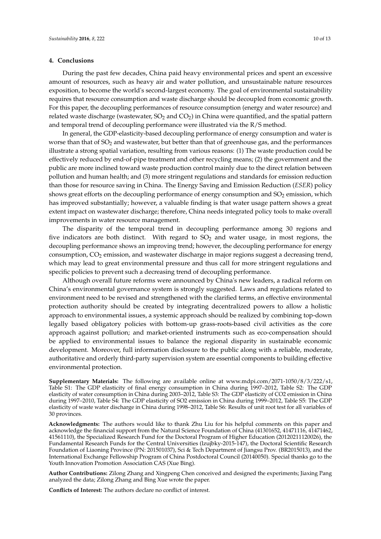### <span id="page-10-0"></span>**4. Conclusions**

During the past few decades, China paid heavy environmental prices and spent an excessive amount of resources, such as heavy air and water pollution, and unsustainable nature resources exposition, to become the world's second-largest economy. The goal of environmental sustainability requires that resource consumption and waste discharge should be decoupled from economic growth. For this paper, the decoupling performances of resource consumption (energy and water resource) and related waste discharge (wastewater,  $SO_2$  and  $CO_2$ ) in China were quantified, and the spatial pattern and temporal trend of decoupling performance were illustrated via the R/S method.

In general, the GDP-elasticity-based decoupling performance of energy consumption and water is worse than that of  $SO_2$  and wastewater, but better than that of greenhouse gas, and the performances illustrate a strong spatial variation, resulting from various reasons: (1) The waste production could be effectively reduced by end-of-pipe treatment and other recycling means; (2) the government and the public are more inclined toward waste production control mainly due to the direct relation between pollution and human health; and (3) more stringent regulations and standards for emission reduction than those for resource saving in China. The Energy Saving and Emission Reduction (*ESER*) policy shows great efforts on the decoupling performance of energy consumption and  $SO<sub>2</sub>$  emission, which has improved substantially; however, a valuable finding is that water usage pattern shows a great extent impact on wastewater discharge; therefore, China needs integrated policy tools to make overall improvements in water resource management.

The disparity of the temporal trend in decoupling performance among 30 regions and five indicators are both distinct. With regard to  $SO<sub>2</sub>$  and water usage, in most regions, the decoupling performance shows an improving trend; however, the decoupling performance for energy consumption, CO<sub>2</sub> emission, and wastewater discharge in major regions suggest a decreasing trend, which may lead to great environmental pressure and thus call for more stringent regulations and specific policies to prevent such a decreasing trend of decoupling performance.

Although overall future reforms were announced by China's new leaders, a radical reform on China's environmental governance system is strongly suggested. Laws and regulations related to environment need to be revised and strengthened with the clarified terms, an effective environmental protection authority should be created by integrating decentralized powers to allow a holistic approach to environmental issues, a systemic approach should be realized by combining top-down legally based obligatory policies with bottom-up grass-roots-based civil activities as the core approach against pollution; and market-oriented instruments such as eco-compensation should be applied to environmental issues to balance the regional disparity in sustainable economic development. Moreover, full information disclosure to the public along with a reliable, moderate, authoritative and orderly third-party supervision system are essential components to building effective environmental protection.

**Supplementary Materials:** The following are available online at www.mdpi.com/2071-1050/8/3/222/s1, Table S1: The GDP elasticity of final energy consumption in China during 1997–2012, Table S2: The GDP elasticity of water consumption in China during 2003–2012, Table S3: The GDP elasticity of CO2 emission in China during 1997–2010, Table S4: The GDP elasticity of SO2 emission in China during 1999–2012, Table S5: The GDP elasticity of waste water discharge in China during 1998–2012, Table S6: Results of unit root test for all variables of 30 provinces.

**Acknowledgments:** The authors would like to thank Zhu Liu for his helpful comments on this paper and acknowledge the financial support from the Natural Science Foundation of China (41301652, 41471116, 41471462, 41561110), the Specialized Research Fund for the Doctoral Program of Higher Education (20120211120026), the Fundamental Research Funds for the Central Universities (lzujbky-2015-147), the Doctoral Scientific Research Foundation of Liaoning Province (PN: 201501037), Sci & Tech Department of Jiangsu Prov. (BR2015013), and the International Exchange Fellowship Program of China Postdoctoral Council (20140050). Special thanks go to the Youth Innovation Promotion Association CAS (Xue Bing).

**Author Contributions:** Zilong Zhang and Xingpeng Chen conceived and designed the experiments; Jiaxing Pang analyzed the data; Zilong Zhang and Bing Xue wrote the paper.

**Conflicts of Interest:** The authors declare no conflict of interest.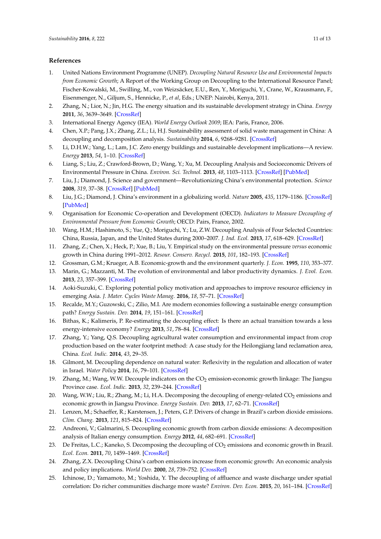## **References**

- <span id="page-11-0"></span>1. United Nations Environment Programme (UNEP). *Decoupling Natural Resource Use and Environmental Impacts from Economic Growth*; A Report of the Working Group on Decoupling to the International Resource Panel; Fischer-Kowalski, M., Swilling, M., von Weizsäcker, E.U., Ren, Y., Moriguchi, Y., Crane, W., Krausmann, F., Eisenmenger, N., Giljum, S., Hennicke, P., *et al*, Eds.; UNEP: Nairobi, Kenya, 2011.
- <span id="page-11-1"></span>2. Zhang, N.; Lior, N.; Jin, H.G. The energy situation and its sustainable development strategy in China. *Energy* **2011**, *36*, 3639–3649. [\[CrossRef\]](http://dx.doi.org/10.1016/j.energy.2011.01.035)
- <span id="page-11-2"></span>3. International Energy Agency (IEA). *World Energy Outlook 2009*; IEA: Paris, France, 2006.
- <span id="page-11-3"></span>4. Chen, X.P.; Pang, J.X.; Zhang, Z.L.; Li, H.J. Sustainability assessment of solid waste management in China: A decoupling and decomposition analysis. *Sustainability* **2014**, *6*, 9268–9281. [\[CrossRef\]](http://dx.doi.org/10.3390/su6129268)
- <span id="page-11-4"></span>5. Li, D.H.W.; Yang, L.; Lam, J.C. Zero energy buildings and sustainable development implications—A review. *Energy* **2013**, *54*, 1–10. [\[CrossRef\]](http://dx.doi.org/10.1016/j.energy.2013.01.070)
- <span id="page-11-5"></span>6. Liang, S.; Liu, Z.; Crawford-Brown, D.; Wang, Y.; Xu, M. Decoupling Analysis and Socioeconomic Drivers of Environmental Pressure in China. *Environ. Sci. Technol.* **2013**, *48*, 1103–1113. [\[CrossRef\]](http://dx.doi.org/10.1021/es4042429) [\[PubMed\]](http://www.ncbi.nlm.nih.gov/pubmed/24354299)
- 7. Liu, J.; Diamond, J. Science and government—Revolutionizing China's environmental protection. *Science* **2008**, *319*, 37–38. [\[CrossRef\]](http://dx.doi.org/10.1126/science.1150416) [\[PubMed\]](http://www.ncbi.nlm.nih.gov/pubmed/18174421)
- <span id="page-11-6"></span>8. Liu, J.G.; Diamond, J. China's environment in a globalizing world. *Nature* **2005**, *435*, 1179–1186. [\[CrossRef\]](http://dx.doi.org/10.1038/4351179a) [\[PubMed\]](http://www.ncbi.nlm.nih.gov/pubmed/15988514)
- <span id="page-11-7"></span>9. Organisation for Economic Co-operation and Development (OECD). *Indicators to Measure Decoupling of Environmental Pressure from Economic Growth*; OECD: Pairs, France, 2002.
- <span id="page-11-8"></span>10. Wang, H.M.; Hashimoto, S.; Yue, Q.; Moriguchi, Y.; Lu, Z.W. Decoupling Analysis of Four Selected Countries: China, Russia, Japan, and the United States during 2000–2007. *J. Ind. Ecol.* **2013**, *17*, 618–629. [\[CrossRef\]](http://dx.doi.org/10.1111/jiec.12005)
- <span id="page-11-9"></span>11. Zhang, Z.; Chen, X.; Heck, P.; Xue, B.; Liu, Y. Empirical study on the environmental pressure *versus* economic growth in China during 1991–2012. *Resour. Conserv. Recycl.* **2015**, *101*, 182–193. [\[CrossRef\]](http://dx.doi.org/10.1016/j.resconrec.2015.05.018)
- <span id="page-11-10"></span>12. Grossman, G.M.; Krueger, A.B. Economic-growth and the environment quarterly. *J. Econ.* **1995**, *110*, 353–377.
- <span id="page-11-11"></span>13. Marin, G.; Mazzanti, M. The evolution of environmental and labor productivity dynamics. *J. Evol. Econ.* **2013**, *23*, 357–399. [\[CrossRef\]](http://dx.doi.org/10.1007/s00191-010-0199-8)
- <span id="page-11-12"></span>14. Aoki-Suzuki, C. Exploring potential policy motivation and approaches to improve resource efficiency in emerging Asia. *J. Mater. Cycles Waste Manag.* **2016**, *18*, 57–71. [\[CrossRef\]](http://dx.doi.org/10.1007/s10163-015-0432-5)
- <span id="page-11-13"></span>15. Recalde, M.Y.; Guzowski, C.; Zilio, M.I. Are modern economies following a sustainable energy consumption path? *Energy Sustain. Dev.* **2014**, *19*, 151–161. [\[CrossRef\]](http://dx.doi.org/10.1016/j.esd.2014.01.005)
- <span id="page-11-14"></span>16. Bithas, K.; Kalimeris, P. Re-estimating the decoupling effect: Is there an actual transition towards a less energy-intensive economy? *Energy* **2013**, *51*, 78–84. [\[CrossRef\]](http://dx.doi.org/10.1016/j.energy.2012.11.033)
- <span id="page-11-15"></span>17. Zhang, Y.; Yang, Q.S. Decoupling agricultural water consumption and environmental impact from crop production based on the water footprint method: A case study for the Heilongjiang land reclamation area, China. *Ecol. Indic.* **2014**, *43*, 29–35.
- <span id="page-11-16"></span>18. Gilmont, M. Decoupling dependence on natural water: Reflexivity in the regulation and allocation of water in Israel. *Water Policy* **2014**, *16*, 79–101. [\[CrossRef\]](http://dx.doi.org/10.2166/wp.2013.171)
- <span id="page-11-17"></span>19. Zhang, M.; Wang, W.W. Decouple indicators on the  $CO<sub>2</sub>$  emission-economic growth linkage: The Jiangsu Province case. *Ecol. Indic.* **2013**, *32*, 239–244. [\[CrossRef\]](http://dx.doi.org/10.1016/j.ecolind.2013.03.033)
- 20. Wang, W.W.; Liu, R.; Zhang, M.; Li, H.A. Decomposing the decoupling of energy-related CO<sub>2</sub> emissions and economic growth in Jiangsu Province. *Energy Sustain. Dev.* **2013**, *17*, 62–71. [\[CrossRef\]](http://dx.doi.org/10.1016/j.esd.2012.11.007)
- 21. Lenzen, M.; Schaeffer, R.; Karstensen, J.; Peters, G.P. Drivers of change in Brazil's carbon dioxide emissions. *Clim. Chang.* **2013**, *121*, 815–824. [\[CrossRef\]](http://dx.doi.org/10.1007/s10584-013-0930-1)
- <span id="page-11-20"></span>22. Andreoni, V.; Galmarini, S. Decoupling economic growth from carbon dioxide emissions: A decomposition analysis of Italian energy consumption. *Energy* **2012**, *44*, 682–691. [\[CrossRef\]](http://dx.doi.org/10.1016/j.energy.2012.05.024)
- <span id="page-11-21"></span>23. De Freitas, L.C.; Kaneko, S. Decomposing the decoupling of  $CO<sub>2</sub>$  emissions and economic growth in Brazil. *Ecol. Econ.* **2011**, *70*, 1459–1469. [\[CrossRef\]](http://dx.doi.org/10.1016/j.ecolecon.2011.02.011)
- <span id="page-11-18"></span>24. Zhang, Z.X. Decoupling China's carbon emissions increase from economic growth: An economic analysis and policy implications. *World Dev.* **2000**, *28*, 739–752. [\[CrossRef\]](http://dx.doi.org/10.1016/S0305-750X(99)00154-0)
- <span id="page-11-19"></span>25. Ichinose, D.; Yamamoto, M.; Yoshida, Y. The decoupling of affluence and waste discharge under spatial correlation: Do richer communities discharge more waste? *Environ. Dev. Econ.* **2015**, *20*, 161–184. [\[CrossRef\]](http://dx.doi.org/10.1017/S1355770X14000370)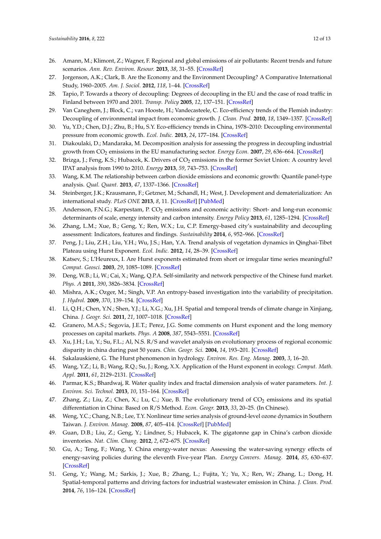- 26. Amann, M.; Klimont, Z.; Wagner, F. Regional and global emissions of air pollutants: Recent trends and future scenarios. *Ann. Rev. Environ. Resour.* **2013**, *38*, 31–55. [\[CrossRef\]](http://dx.doi.org/10.1146/annurev-environ-052912-173303)
- <span id="page-12-0"></span>27. Jorgenson, A.K.; Clark, B. Are the Economy and the Environment Decoupling? A Comparative International Study, 1960–2005. *Am. J. Sociol.* **2012**, *118*, 1–44. [\[CrossRef\]](http://dx.doi.org/10.1086/665990)
- <span id="page-12-1"></span>28. Tapio, P. Towards a theory of decoupling: Degrees of decoupling in the EU and the case of road traffic in Finland between 1970 and 2001. *Transp. Policy* **2005**, *12*, 137–151. [\[CrossRef\]](http://dx.doi.org/10.1016/j.tranpol.2005.01.001)
- <span id="page-12-2"></span>29. Van Caneghem, J.; Block, C.; van Hooste, H.; Vandecasteele, C. Eco-efficiency trends of the Flemish industry: Decoupling of environmental impact from economic growth. *J. Clean. Prod.* **2010**, *18*, 1349–1357. [\[CrossRef\]](http://dx.doi.org/10.1016/j.jclepro.2010.05.019)
- <span id="page-12-3"></span>30. Yu, Y.D.; Chen, D.J.; Zhu, B.; Hu, S.Y. Eco-efficiency trends in China, 1978–2010: Decoupling environmental pressure from economic growth. *Ecol. Indic.* **2013**, *24*, 177–184. [\[CrossRef\]](http://dx.doi.org/10.1016/j.ecolind.2012.06.007)
- <span id="page-12-4"></span>31. Diakoulaki, D.; Mandaraka, M. Decomposition analysis for assessing the progress in decoupling industrial growth from CO<sup>2</sup> emissions in the EU manufacturing sector. *Energy Econ.* **2007**, *29*, 636–664. [\[CrossRef\]](http://dx.doi.org/10.1016/j.eneco.2007.01.005)
- <span id="page-12-5"></span>32. Brizga, J.; Feng, K.S.; Hubacek, K. Drivers of CO<sub>2</sub> emissions in the former Soviet Union: A country level IPAT analysis from 1990 to 2010. *Energy* **2013**, *59*, 743–753. [\[CrossRef\]](http://dx.doi.org/10.1016/j.energy.2013.07.045)
- <span id="page-12-6"></span>33. Wang, K.M. The relationship between carbon dioxide emissions and economic growth: Quantile panel-type analysis. *Qual. Quant.* **2013**, *47*, 1337–1366. [\[CrossRef\]](http://dx.doi.org/10.1007/s11135-011-9594-y)
- 34. Steinberger, J.K.; Krausmann, F.; Getzner, M.; Schandl, H.; West, J. Development and dematerialization: An international study. *PLoS ONE* **2013**, *8*, 11. [\[CrossRef\]](http://dx.doi.org/10.1371/journal.pone.0070385) [\[PubMed\]](http://www.ncbi.nlm.nih.gov/pubmed/24204555)
- <span id="page-12-7"></span>35. Andersson, F.N.G.; Karpestam, P. CO<sub>2</sub> emissions and economic activity: Short- and long-run economic determinants of scale, energy intensity and carbon intensity. *Energy Policy* **2013**, *61*, 1285–1294. [\[CrossRef\]](http://dx.doi.org/10.1016/j.enpol.2013.06.004)
- <span id="page-12-8"></span>36. Zhang, L.M.; Xue, B.; Geng, Y.; Ren, W.X.; Lu, C.P. Emergy-based city's sustainability and decoupling assessment: Indicators, features and findings. *Sustainability* **2014**, *6*, 952–966. [\[CrossRef\]](http://dx.doi.org/10.3390/su6020952)
- <span id="page-12-9"></span>37. Peng, J.; Liu, Z.H.; Liu, Y.H.; Wu, J.S.; Han, Y.A. Trend analysis of vegetation dynamics in Qinghai-Tibet Plateau using Hurst Exponent. *Ecol. Indic.* **2012**, *14*, 28–39. [\[CrossRef\]](http://dx.doi.org/10.1016/j.ecolind.2011.08.011)
- <span id="page-12-10"></span>38. Katsev, S.; L'Heureux, I. Are Hurst exponents estimated from short or irregular time series meaningful? *Comput. Geosci.* **2003**, *29*, 1085–1089. [\[CrossRef\]](http://dx.doi.org/10.1016/S0098-3004(03)00105-5)
- 39. Deng, W.B.; Li, W.; Cai, X.; Wang, Q.P.A. Self-similarity and network perspective of the Chinese fund market. *Phys. A* **2011**, *390*, 3826–3834. [\[CrossRef\]](http://dx.doi.org/10.1016/j.physa.2011.06.029)
- <span id="page-12-11"></span>40. Mishra, A.K.; Ozger, M.; Singh, V.P. An entropy-based investigation into the variability of precipitation. *J. Hydrol.* **2009**, *370*, 139–154. [\[CrossRef\]](http://dx.doi.org/10.1016/j.jhydrol.2009.03.006)
- <span id="page-12-12"></span>41. Li, Q.H.; Chen, Y.N.; Shen, Y.J.; Li, X.G.; Xu, J.H. Spatial and temporal trends of climate change in Xinjiang, China. *J. Geogr. Sci.* **2011**, *21*, 1007–1018. [\[CrossRef\]](http://dx.doi.org/10.1007/s11442-011-0896-8)
- 42. Granero, M.A.S.; Segovia, J.E.T.; Perez, J.G. Some comments on Hurst exponent and the long memory processes on capital markets. *Phys. A* **2008**, *387*, 5543–5551. [\[CrossRef\]](http://dx.doi.org/10.1016/j.physa.2008.05.053)
- <span id="page-12-13"></span>43. Xu, J.H.; Lu, Y.; Su, F.L.; Al, N.S. R/S and wavelet analysis on evolutionary process of regional economic disparity in china during past 50 years. *Chin. Geogr. Sci.* **2004**, *14*, 193–201. [\[CrossRef\]](http://dx.doi.org/10.1007/s11769-003-0047-y)
- <span id="page-12-14"></span>44. Sakalauskiene, G. The Hurst phenomenon in hydrology. ˙ *Environ. Res. Eng. Manag.* **2003**, *3*, 16–20.
- <span id="page-12-15"></span>45. Wang, Y.Z.; Li, B.; Wang, R.Q.; Su, J.; Rong, X.X. Application of the Hurst exponent in ecology. *Comput. Math. Appl.* **2011**, *61*, 2129–2131. [\[CrossRef\]](http://dx.doi.org/10.1016/j.camwa.2010.08.095)
- <span id="page-12-16"></span>46. Parmar, K.S.; Bhardwaj, R. Water quality index and fractal dimension analysis of water parameters. *Int. J. Environ. Sci. Technol.* **2013**, *10*, 151–164. [\[CrossRef\]](http://dx.doi.org/10.1007/s13762-012-0086-y)
- 47. Zhang, Z.; Liu, Z.; Chen, X.; Lu, C.; Xue, B. The evolutionary trend of  $CO<sub>2</sub>$  emissions and its spatial differentiation in China: Based on R/S Method. *Econ. Geogr.* **2013**, *33*, 20–25. (In Chinese).
- <span id="page-12-17"></span>48. Weng, Y.C.; Chang, N.B.; Lee, T.Y. Nonlinear time series analysis of ground-level ozone dynamics in Southern Taiwan. *J. Environ. Manag.* **2008**, *87*, 405–414. [\[CrossRef\]](http://dx.doi.org/10.1016/j.jenvman.2007.01.023) [\[PubMed\]](http://www.ncbi.nlm.nih.gov/pubmed/17368917)
- <span id="page-12-18"></span>49. Guan, D.B.; Liu, Z.; Geng, Y.; Lindner, S.; Hubacek, K. The gigatonne gap in China's carbon dioxide inventories. *Nat. Clim. Chang.* **2012**, *2*, 672–675. [\[CrossRef\]](http://dx.doi.org/10.1038/nclimate1560)
- <span id="page-12-19"></span>50. Gu, A.; Teng, F.; Wang, Y. China energy-water nexus: Assessing the water-saving synergy effects of energy-saving policies during the eleventh Five-year Plan. *Energy Convers. Manag.* **2014**, *85*, 630–637. [\[CrossRef\]](http://dx.doi.org/10.1016/j.enconman.2014.04.054)
- <span id="page-12-20"></span>51. Geng, Y.; Wang, M.; Sarkis, J.; Xue, B.; Zhang, L.; Fujita, Y.; Yu, X.; Ren, W.; Zhang, L.; Dong, H. Spatial-temporal patterns and driving factors for industrial wastewater emission in China. *J. Clean. Prod.* **2014**, *76*, 116–124. [\[CrossRef\]](http://dx.doi.org/10.1016/j.jclepro.2014.04.047)